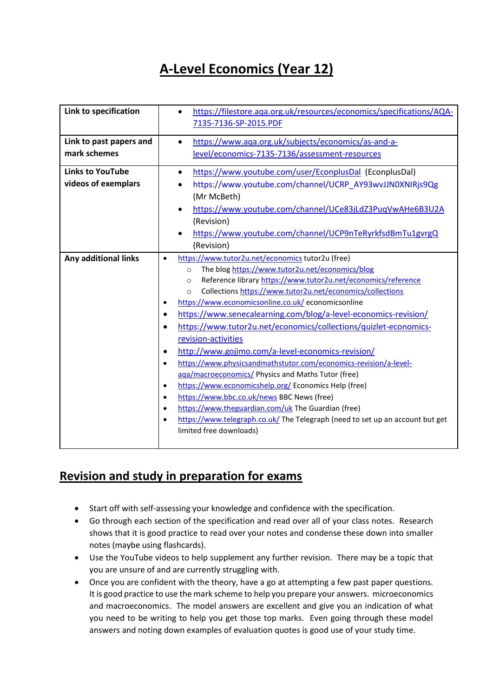# **A-Level Economics (Year 12)**

| Link to specification                          | https://filestore.aga.org.uk/resources/economics/specifications/AQA-<br>$\bullet$<br>7135-7136-SP-2015.PDF                                                                                                                                                                                                                                                                                                                                                                                                                                                                                                                                                                                                                                                                                                                                                                                                                                                                                                                                                                       |
|------------------------------------------------|----------------------------------------------------------------------------------------------------------------------------------------------------------------------------------------------------------------------------------------------------------------------------------------------------------------------------------------------------------------------------------------------------------------------------------------------------------------------------------------------------------------------------------------------------------------------------------------------------------------------------------------------------------------------------------------------------------------------------------------------------------------------------------------------------------------------------------------------------------------------------------------------------------------------------------------------------------------------------------------------------------------------------------------------------------------------------------|
| Link to past papers and<br>mark schemes        | https://www.aqa.org.uk/subjects/economics/as-and-a-<br>$\bullet$<br>level/economics-7135-7136/assessment-resources                                                                                                                                                                                                                                                                                                                                                                                                                                                                                                                                                                                                                                                                                                                                                                                                                                                                                                                                                               |
| <b>Links to YouTube</b><br>videos of exemplars | https://www.youtube.com/user/EconplusDal (EconplusDal)<br>$\bullet$<br>https://www.youtube.com/channel/UCRP_AY93wvJJN0XNIRjs9Qg<br>(Mr McBeth)<br>https://www.youtube.com/channel/UCe83jLdZ3PuqVwAHe6B3U2A<br>(Revision)<br>https://www.youtube.com/channel/UCP9nTeRyrkfsdBmTu1gvrgQ<br>(Revision)                                                                                                                                                                                                                                                                                                                                                                                                                                                                                                                                                                                                                                                                                                                                                                               |
| Any additional links                           | https://www.tutor2u.net/economics tutor2u (free)<br>$\bullet$<br>The blog https://www.tutor2u.net/economics/blog<br>$\circ$<br>Reference library https://www.tutor2u.net/economics/reference<br>$\circ$<br>Collections https://www.tutor2u.net/economics/collections<br>$\Omega$<br>https://www.economicsonline.co.uk/ economicsonline<br>$\bullet$<br>https://www.senecalearning.com/blog/a-level-economics-revision/<br>$\bullet$<br>https://www.tutor2u.net/economics/collections/quizlet-economics-<br>$\bullet$<br>revision-activities<br>http://www.gojimo.com/a-level-economics-revision/<br>$\bullet$<br>https://www.physicsandmathstutor.com/economics-revision/a-level-<br>$\bullet$<br>aga/macroeconomics/ Physics and Maths Tutor (free)<br>https://www.economicshelp.org/ Economics Help (free)<br>$\bullet$<br>https://www.bbc.co.uk/news BBC News (free)<br>$\bullet$<br>https://www.theguardian.com/uk The Guardian (free)<br>$\bullet$<br>https://www.telegraph.co.uk/ The Telegraph (need to set up an account but get<br>$\bullet$<br>limited free downloads) |

## **Revision and study in preparation for exams**

- Start off with self-assessing your knowledge and confidence with the specification.
- Go through each section of the specification and read over all of your class notes. Research shows that it is good practice to read over your notes and condense these down into smaller notes (maybe using flashcards).
- Use the YouTube videos to help supplement any further revision. There may be a topic that you are unsure of and are currently struggling with.
- Once you are confident with the theory, have a go at attempting a few past paper questions. It is good practice to use the mark scheme to help you prepare your answers. microeconomics and macroeconomics. The model answers are excellent and give you an indication of what you need to be writing to help you get those top marks. Even going through these model answers and noting down examples of evaluation quotes is good use of your study time.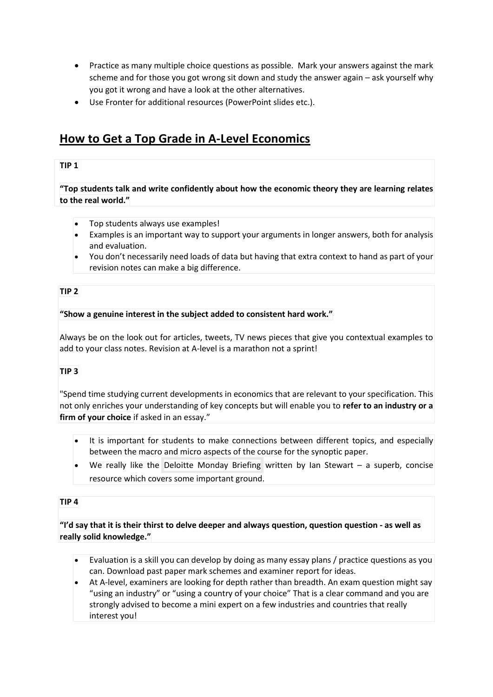- Practice as many multiple choice questions as possible. Mark your answers against the mark scheme and for those you got wrong sit down and study the answer again – ask yourself why you got it wrong and have a look at the other alternatives.
- Use Fronter for additional resources (PowerPoint slides etc.).

## **How to Get a Top Grade in A-Level Economics**

## **TIP 1**

**"Top students talk and write confidently about how the economic theory they are learning relates to the real world."**

- Top students always use examples!
- Examples is an important way to support your arguments in longer answers, both for analysis and evaluation.
- You don't necessarily need loads of data but having that extra context to hand as part of your revision notes can make a big difference.

## **TIP 2**

## **"Show a genuine interest in the subject added to consistent hard work."**

Always be on the look out for articles, tweets, TV news pieces that give you contextual examples to add to your class notes. Revision at A-level is a marathon not a sprint!

## **TIP 3**

"Spend time studying current developments in economics that are relevant to your specification. This not only enriches your understanding of key concepts but will enable you to **refer to an industry or a firm of your choice** if asked in an essay."

- It is important for students to make connections between different topics, and especially between the macro and micro aspects of the course for the synoptic paper.
- We really like the Deloitte Monday Briefing written by Ian Stewart a superb, concise resource which covers some important ground.

## **TIP 4**

"I'd say that it is their thirst to delve deeper and always question, question question - as well as **really solid knowledge."**

- Evaluation is a skill you can develop by doing as many essay plans / practice questions as you can. Download past paper mark schemes and examiner report for ideas.
- At A-level, examiners are looking for depth rather than breadth. An exam question might say "using an industry" or "using a country of your choice" That is a clear command and you are strongly advised to become a mini expert on a few industries and countries that really interest you!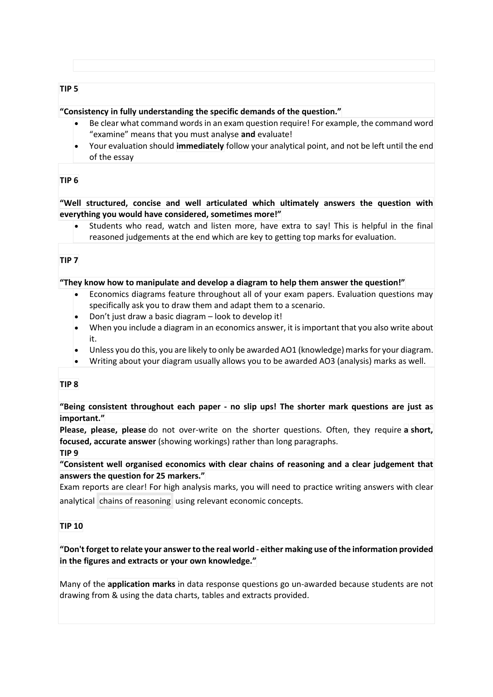#### **TIP 5**

#### **"Consistency in fully understanding the specific demands of the question."**

- Be clear what command words in an exam question require! For example, the command word "examine" means that you must analyse **and** evaluate!
- Your evaluation should **immediately** follow your analytical point, and not be left until the end of the essay

## **TIP 6**

**"Well structured, concise and well articulated which ultimately answers the question with everything you would have considered, sometimes more!"**

 Students who read, watch and listen more, have extra to say! This is helpful in the final reasoned judgements at the end which are key to getting top marks for evaluation.

## **TIP 7**

#### **"They know how to manipulate and develop a diagram to help them answer the question!"**

- Economics diagrams feature throughout all of your exam papers. Evaluation questions may specifically ask you to draw them and adapt them to a scenario.
- Don't just draw a basic diagram look to develop it!
- When you include a diagram in an economics answer, it is important that you also write about it.
- Unless you do this, you are likely to only be awarded AO1 (knowledge) marks for your diagram.
- Writing about your diagram usually allows you to be awarded AO3 (analysis) marks as well.

#### **TIP 8**

**"Being consistent throughout each paper - no slip ups! The shorter mark questions are just as important."**

**Please, please, please** do not over-write on the shorter questions. Often, they require **a short, focused, accurate answer** (showing workings) rather than long paragraphs. **TIP 9**

**"Consistent well organised economics with clear chains of reasoning and a clear judgement that answers the question for 25 markers."**

Exam reports are clear! For high analysis marks, you will need to practice writing answers with clear analytical chains of reasoning using relevant economic concepts.

#### **TIP 10**

**"Don't forget to relate your answerto the real world - either making use ofthe information provided in the figures and extracts or your own knowledge."**

Many of the **application marks** in data response questions go un-awarded because students are not drawing from & using the data charts, tables and extracts provided.